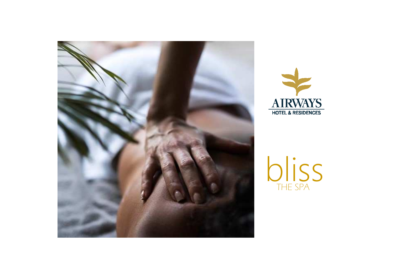



blissTHE SPA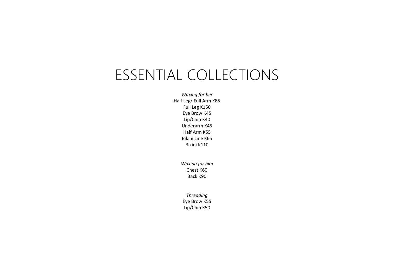## ESSENTIAL COLLECTIONS

*Waxing for her*  Half Leg/ Full Arm K85 Full Leg K150 Eye Brow K45 Lip/Chin K40 Underarm K45 Half Arm K55 Bikini Line K65 Bikini K110

> *Waxing for him* Chest K60 Back K90

*Threading*  Eye Brow K55 Lip/Chin K50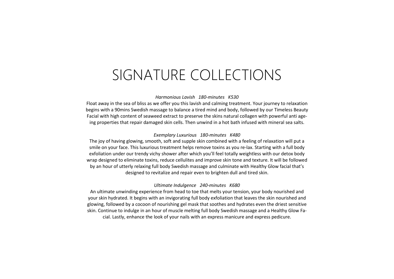# SIGNATURE COLLECTIONS

### *Harmonious Lavish 180-minutes K530*

Float away in the sea of bliss as we offer you this lavish and calming treatment. Your journey to relaxation begins with a 90mins Swedish massage to balance a tired mind and body, followed by our Timeless Beauty Facial with high content of seaweed extract to preserve the skins natural collagen with powerful anti ageing properties that repair damaged skin cells. Then unwind in a hot bath infused with mineral sea salts.

### *Exemplary Luxurious 180-minutes K480*

The joy of having glowing, smooth, soft and supple skin combined with a feeling of relaxation will put a smile on your face. This luxurious treatment helps remove toxins as you re-lax. Starting with a full body exfoliation under our trendy vichy shower after which you'll feel totally weightless with our detox body wrap designed to eliminate toxins, reduce cellulites and improve skin tone and texture. It will be followed by an hour of utterly relaxing full body Swedish massage and culminate with Healthy Glow facial that'sdesigned to revitalize and repair even to brighten dull and tired skin.

#### *Ultimate Indulgence 240-minutes K680*

An ultimate unwinding experience from head to toe that melts your tension, your body nourished and your skin hydrated. It begins with an invigorating full body exfoliation that leaves the skin nourished and glowing, followed by a cocoon of nourishing gel mask that soothes and hydrates even the driest sensitive skin. Continue to indulge in an hour of muscle melting full body Swedish massage and a Healthy Glow Facial. Lastly, enhance the look of your nails with an express manicure and express pedicure.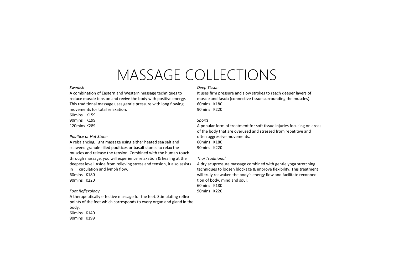# MASSAGE COLLECTIONS

#### *Swedish*

A combination of Eastern and Western massage techniques to reduce muscle tension and revive the body with positive energy. This traditional massage uses gentle pressure with long flowing movements for total relaxation.

60mins K159

90mins K199

120mins K289

#### *Poultice or Hot Stone*

A rebalancing, light massage using either heated sea salt and seaweed granule filled poultices or basalt stones to relax the muscles and release the tension. Combined with the human touch through massage, you will experience relaxation & healing at the deepest level. Aside from relieving stress and tension, it also assists in circulation and lymph flow.

60mins K180 90mins K220

#### *Foot Reflexology*

A therapeutically effective massage for the feet. Stimulating reflex points of the feet which corresponds to every organ and gland in the body. 60mins K140

90mins K199

#### *Deep Tissue*

It uses firm pressure and slow strokes to reach deeper layers of muscle and fascia (connective tissue surrounding the muscles). 60mins K180 90mins K220

#### *Sports*

A popular form of treatment for soft tissue injuries focusing on areas of the body that are overused and stressed from repetitive and often aggressive movements. 60mins K180 90mins K220

#### *Thai Traditional*

A dry acupressure massage combined with gentle yoga stretching techniques to loosen blockage & improve flexibility. This treatment will truly reawaken the body's energy flow and facilitate reconnection of body, mind and soul. 60mins K180 90mins K220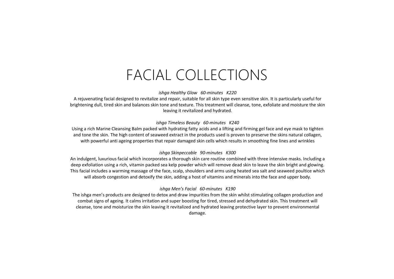## FACIAL COLLECTIONS

## *ishga Healthy Glow 60-minutes K220*

A rejuvenating facial designed to revitalize and repair, suitable for all skin type even sensitive skin. It is particularly useful for brightening dull, tired skin and balances skin tone and texture. This treatment will cleanse, tone, exfoliate and moisture the skin leaving it revitalized and hydrated.

## *ishga Timeless Beauty 60-minutes K240*

 Using a rich Marine Cleansing Balm packed with hydrating fatty acids and a lifting and firming gel face and eye mask to tighten and tone the skin. The high content of seaweed extract in the products used is proven to preserve the skins natural collagen, with powerful anti ageing properties that repair damaged skin cells which results in smoothing fine lines and wrinkles

## *ishga Skinpeccable 90-minutes K300*

An indulgent, luxurious facial which incorporates a thorough skin care routine combined with three intensive masks. Including a deep exfoliation using a rich, vitamin packed sea kelp powder which will remove dead skin to leave the skin bright and glowing. This facial includes a warming massage of the face, scalp, shoulders and arms using heated sea salt and seaweed poultice which will absorb congestion and detoxify the skin, adding a host of vitamins and minerals into the face and upper body.

## *ishga Men's Facial 60-minutes K190*

The ishga men's products are designed to detox and draw impurities from the skin whilst stimulating collagen production and combat signs of ageing. It calms irritation and super boosting for tired, stressed and dehydrated skin. This treatment will cleanse, tone and moisturize the skin leaving it revitalized and hydrated leaving protective layer to prevent environmental damage.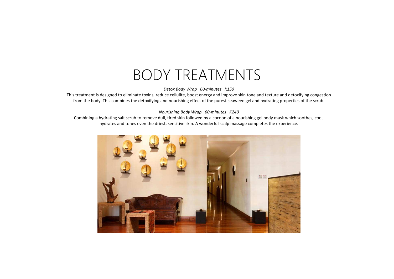## BODY TREATMENTS

*Detox Body Wrap 60-minutes K150* 

 This treatment is designed to eliminate toxins, reduce cellulite, boost energy and improve skin tone and texture and detoxifying congestion from the body. This combines the detoxifying and nourishing effect of the purest seaweed gel and hydrating properties of the scrub.

### *Nourishing Body Wrap 60-minutes K240*

 Combining a hydrating salt scrub to remove dull, tired skin followed by a cocoon of a nourishing gel body mask which soothes, cool, hydrates and tones even the driest, sensitive skin. A wonderful scalp massage completes the experience.

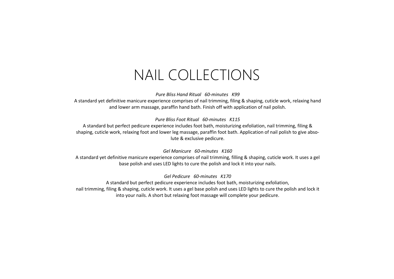## NAIL COLLECTIONS

## *Pure Bliss Hand Ritual 60-minutes K99*

A standard yet definitive manicure experience comprises of nail trimming, filing & shaping, cuticle work, relaxing hand and lower arm massage, paraffin hand bath. Finish off with application of nail polish.

*Pure Bliss Foot Ritual 60-minutes K115* 

A standard but perfect pedicure experience includes foot bath, moisturizing exfoliation, nail trimming, filing & shaping, cuticle work, relaxing foot and lower leg massage, paraffin foot bath. Application of nail polish to give absolute & exclusive pedicure.

## *Gel Manicure 60-minutes K160*

A standard yet definitive manicure experience comprises of nail trimming, filling & shaping, cuticle work. It uses a gel base polish and uses LED lights to cure the polish and lock it into your nails.

## *Gel Pedicure 60-minutes K170*

 A standard but perfect pedicure experience includes foot bath, moisturizing exfoliation, nail trimming, filing & shaping, cuticle work. It uses a gel base polish and uses LED lights to cure the polish and lock it into your nails. A short but relaxing foot massage will complete your pedicure.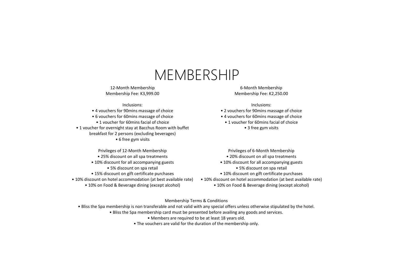## MEMBERSHIP

12-Month Membership Membership Fee: K3,999.00

#### Inclusions:

• 4 vouchers for 90mins massage of choice • 6 vouchers for 60mins massage of choice • 1 voucher for 60mins facial of choice • 1 voucher for overnight stay at Bacchus Room with buffet breakfast for 2 persons (excluding beverages) • 6 free gym visits

> Privileges of 12-Month Membership • 25% discount on all spa treatments • 10% discount for all accompanying guests • 5% discount on spa retail • 15% discount on gift certificate purchases

• 10% discount on hotel accommodation (at best available rate)

• 10% on Food & Beverage dining (except alcohol)

6-Month Membership Membership Fee: K2,250.00

#### Inclusions:

• 2 vouchers for 90mins massage of choice • 4 vouchers for 60mins massage of choice

• 1 voucher for 60mins facial of choice • 3 free gym visits

Privileges of 6-Month Membership

- 20% discount on all spa treatments
- 10% discount for all accompanying guests

• 5% discount on spa retail

- 10% discount on gift certificate purchases
- 10% discount on hotel accommodation (at best available rate)
	- 10% on Food & Beverage dining (except alcohol)

#### Membership Terms & Conditions

• Bliss the Spa membership is non transferable and not valid with any special offers unless otherwise stipulated by the hotel.

- Bliss the Spa membership card must be presented before availing any goods and services.
	- Members are required to be at least 18 years old.
	- The vouchers are valid for the duration of the membership only.